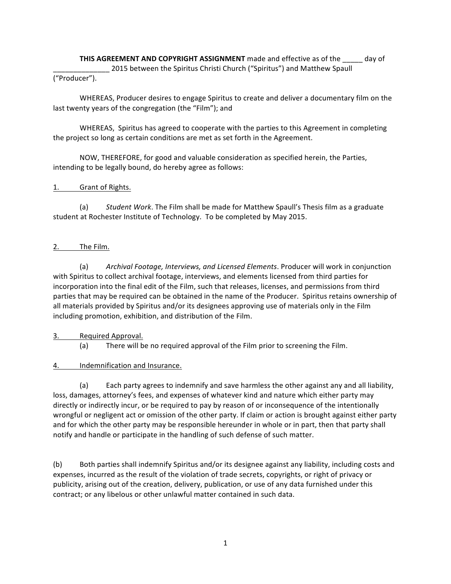**THIS AGREEMENT AND COPYRIGHT ASSIGNMENT** made and effective as of the and post 2015 between the Spiritus Christi Church ("Spiritus") and Matthew Spaull ("Producer").

WHEREAS, Producer desires to engage Spiritus to create and deliver a documentary film on the last twenty years of the congregation (the "Film"); and

WHEREAS, Spiritus has agreed to cooperate with the parties to this Agreement in completing the project so long as certain conditions are met as set forth in the Agreement.

NOW, THEREFORE, for good and valuable consideration as specified herein, the Parties, intending to be legally bound, do hereby agree as follows:

## 1. Grant of Rights.

(a) Student Work. The Film shall be made for Matthew Spaull's Thesis film as a graduate student at Rochester Institute of Technology. To be completed by May 2015.

## 2. The Film.

(a) *Archival Footage, Interviews, and Licensed Elements*. Producer will work in conjunction with Spiritus to collect archival footage, interviews, and elements licensed from third parties for incorporation into the final edit of the Film, such that releases, licenses, and permissions from third parties that may be required can be obtained in the name of the Producer. Spiritus retains ownership of all materials provided by Spiritus and/or its designees approving use of materials only in the Film including promotion, exhibition, and distribution of the Film.

# 3. Required Approval.

(a) There will be no required approval of the Film prior to screening the Film.

# 4. Indemnification and Insurance.

(a) Each party agrees to indemnify and save harmless the other against any and all liability, loss, damages, attorney's fees, and expenses of whatever kind and nature which either party may directly or indirectly incur, or be required to pay by reason of or inconsequence of the intentionally wrongful or negligent act or omission of the other party. If claim or action is brought against either party and for which the other party may be responsible hereunder in whole or in part, then that party shall notify and handle or participate in the handling of such defense of such matter.

(b) Both parties shall indemnify Spiritus and/or its designee against any liability, including costs and expenses, incurred as the result of the violation of trade secrets, copyrights, or right of privacy or publicity, arising out of the creation, delivery, publication, or use of any data furnished under this contract; or any libelous or other unlawful matter contained in such data.